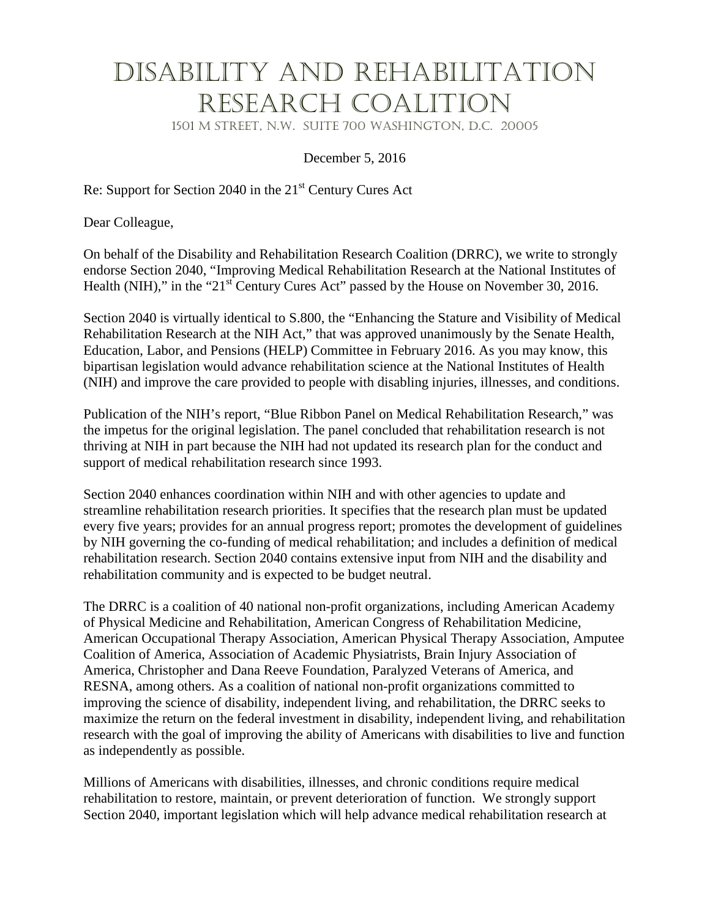## Disability and Rehabilitation Research Coalition

1501 M Street, N.W. Suite 700 Washington, D.C. 20005

December 5, 2016

Re: Support for Section 2040 in the 21<sup>st</sup> Century Cures Act

Dear Colleague,

On behalf of the Disability and Rehabilitation Research Coalition (DRRC), we write to strongly endorse Section 2040, "Improving Medical Rehabilitation Research at the National Institutes of Health (NIH)," in the " $21<sup>st</sup>$  Century Cures Act" passed by the House on November 30, 2016.

Section 2040 is virtually identical to S.800, the "Enhancing the Stature and Visibility of Medical Rehabilitation Research at the NIH Act," that was approved unanimously by the Senate Health, Education, Labor, and Pensions (HELP) Committee in February 2016. As you may know, this bipartisan legislation would advance rehabilitation science at the National Institutes of Health (NIH) and improve the care provided to people with disabling injuries, illnesses, and conditions.

Publication of the NIH's report, "Blue Ribbon Panel on Medical Rehabilitation Research," was the impetus for the original legislation. The panel concluded that rehabilitation research is not thriving at NIH in part because the NIH had not updated its research plan for the conduct and support of medical rehabilitation research since 1993.

Section 2040 enhances coordination within NIH and with other agencies to update and streamline rehabilitation research priorities. It specifies that the research plan must be updated every five years; provides for an annual progress report; promotes the development of guidelines by NIH governing the co-funding of medical rehabilitation; and includes a definition of medical rehabilitation research. Section 2040 contains extensive input from NIH and the disability and rehabilitation community and is expected to be budget neutral.

The DRRC is a coalition of 40 national non-profit organizations, including American Academy of Physical Medicine and Rehabilitation, American Congress of Rehabilitation Medicine, American Occupational Therapy Association, American Physical Therapy Association, Amputee Coalition of America, Association of Academic Physiatrists, Brain Injury Association of America, Christopher and Dana Reeve Foundation, Paralyzed Veterans of America, and RESNA, among others. As a coalition of national non-profit organizations committed to improving the science of disability, independent living, and rehabilitation, the DRRC seeks to maximize the return on the federal investment in disability, independent living, and rehabilitation research with the goal of improving the ability of Americans with disabilities to live and function as independently as possible.

Millions of Americans with disabilities, illnesses, and chronic conditions require medical rehabilitation to restore, maintain, or prevent deterioration of function. We strongly support Section 2040, important legislation which will help advance medical rehabilitation research at